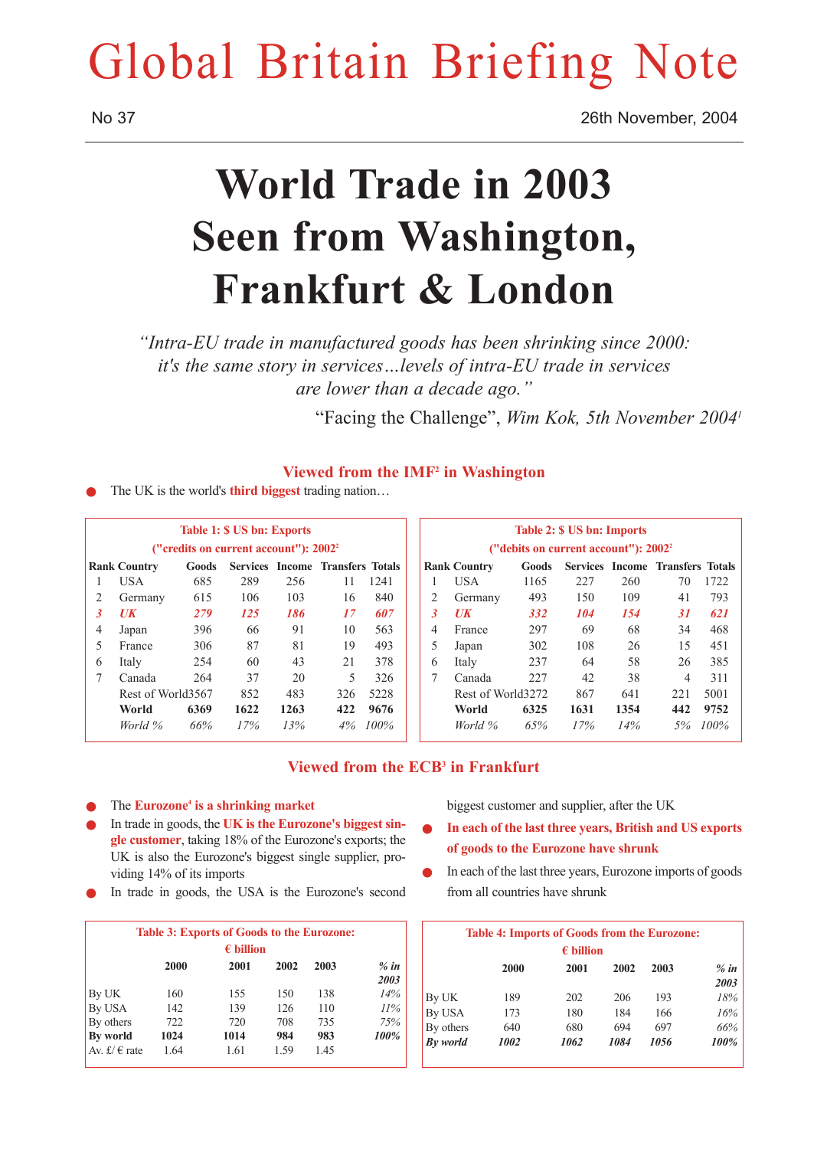# Global Britain Briefing Note

No 37 26th November, 2004

## **World Trade in 2003 Seen from Washington, Frankfurt & London**

*"Intra-EU trade in manufactured goods has been shrinking since 2000: it's the same story in services…levels of intra-EU trade in services are lower than a decade ago."*

"Facing the Challenge", *Wim Kok, 5th November 20041*

## **Viewed from the IMF2 in Washington**

The UK is the world's **third biggest** trading nation…

|   |                                |       | <b>Table 1: \$ US bn: Exports</b>                 |      |                                  |      |
|---|--------------------------------|-------|---------------------------------------------------|------|----------------------------------|------|
|   |                                |       | ("credits on current account"): 2002 <sup>2</sup> |      |                                  |      |
|   | <b>Rank Country</b>            | Goods |                                                   |      | Services Income Transfers Totals |      |
| 1 | USA                            | 685   | 289                                               | 256  | 11                               | 1241 |
| 2 | Germany                        | 615   | 106                                               | 103  | 16                               | 840  |
| 3 | $\boldsymbol{U}\boldsymbol{K}$ | 279   | 125                                               | 186  | 17                               | 607  |
| 4 | Japan                          | 396   | 66                                                | 91   | 10                               | 563  |
| 5 | France                         | 306   | 87                                                | 81   | 19                               | 493  |
| 6 | Italy                          | 254   | 60                                                | 43   | 2.1                              | 378  |
| 7 | Canada                         | 264   | 37                                                | 20   | 5                                | 326  |
|   | Rest of World3567              |       | 852                                               | 483  | 326                              | 5228 |
|   | World                          | 6369  | 1622                                              | 1263 | 422                              | 9676 |
|   | World %                        | 66%   | 17%                                               | 13%  | 4%                               | 100% |

|                | Table 2: \$ US bn: Imports<br>("debits on current account"): 2002 <sup>2</sup> |       |      |      |                                         |      |  |
|----------------|--------------------------------------------------------------------------------|-------|------|------|-----------------------------------------|------|--|
|                | <b>Rank Country</b>                                                            | Goods |      |      | <b>Services Income Transfers Totals</b> |      |  |
|                | USA                                                                            | 1165  | 227  | 260  | 70                                      | 1722 |  |
| $\overline{2}$ | Germany                                                                        | 493   | 150  | 109  | 41                                      | 793  |  |
| 3              | $U\mathbf{K}$                                                                  | 332   | 104  | 154  | 31                                      | 621  |  |
| 4              | France                                                                         | 297   | 69   | 68   | 34                                      | 468  |  |
| 5              | Japan                                                                          | 302   | 108  | 26   | 15                                      | 451  |  |
| 6              | Italy                                                                          | 237   | 64   | 58   | 26                                      | 385  |  |
| 7              | Canada                                                                         | 227   | 42   | 38   | 4                                       | 311  |  |
|                | Rest of World3272                                                              |       | 867  | 641  | 221                                     | 5001 |  |
|                | World                                                                          | 6325  | 1631 | 1354 | 442                                     | 9752 |  |
|                | World %                                                                        | 65%   | 17%  | 14%  | 5%                                      | 100% |  |

## **Viewed from the ECB3 in Frankfurt**

#### The **Eurozone<sup>4</sup>** is a shrinking market

- In trade in goods, the UK is the Eurozone's biggest sin**gle customer**, taking 18% of the Eurozone's exports; the UK is also the Eurozone's biggest single supplier, providing 14% of its imports
- In trade in goods, the USA is the Eurozone's second

|                         |                    | <b>Table 3: Exports of Goods to the Eurozone:</b> |      |      |         |  |
|-------------------------|--------------------|---------------------------------------------------|------|------|---------|--|
|                         | $\epsilon$ billion |                                                   |      |      |         |  |
|                         | 2000               | 2001                                              | 2002 | 2003 | $\%$ in |  |
|                         |                    |                                                   |      |      | 2003    |  |
| By UK                   | 160                | 155                                               | 150  | 138  | 14%     |  |
| By USA                  | 142                | 139                                               | 126  | 110  | $11\%$  |  |
| By others               | 722                | 720                                               | 708  | 735  | 75%     |  |
| By world                | 1024               | 1014                                              | 984  | 983  | 100%    |  |
| Av. $f \in \text{rate}$ | 1.64               | 1.61                                              | 1.59 | 1.45 |         |  |

biggest customer and supplier, after the UK

- In each of the last three years, British and US exports **of goods to the Eurozone have shrunk**
- In each of the last three years, Eurozone imports of goods from all countries have shrunk

| <b>Table 4: Imports of Goods from the Eurozone:</b> |      |      |      |      |        |  |
|-----------------------------------------------------|------|------|------|------|--------|--|
| $\epsilon$ billion                                  |      |      |      |      |        |  |
|                                                     | 2000 | 2001 | 2002 | 2003 | $%$ in |  |
|                                                     |      |      |      |      | 2003   |  |
| By UK                                               | 189  | 202  | 206  | 193  | 18%    |  |
| By USA                                              | 173  | 180  | 184  | 166  | 16%    |  |
| By others                                           | 640  | 680  | 694  | 697  | 66%    |  |
| By world                                            | 1002 | 1062 | 1084 | 1056 | 100%   |  |